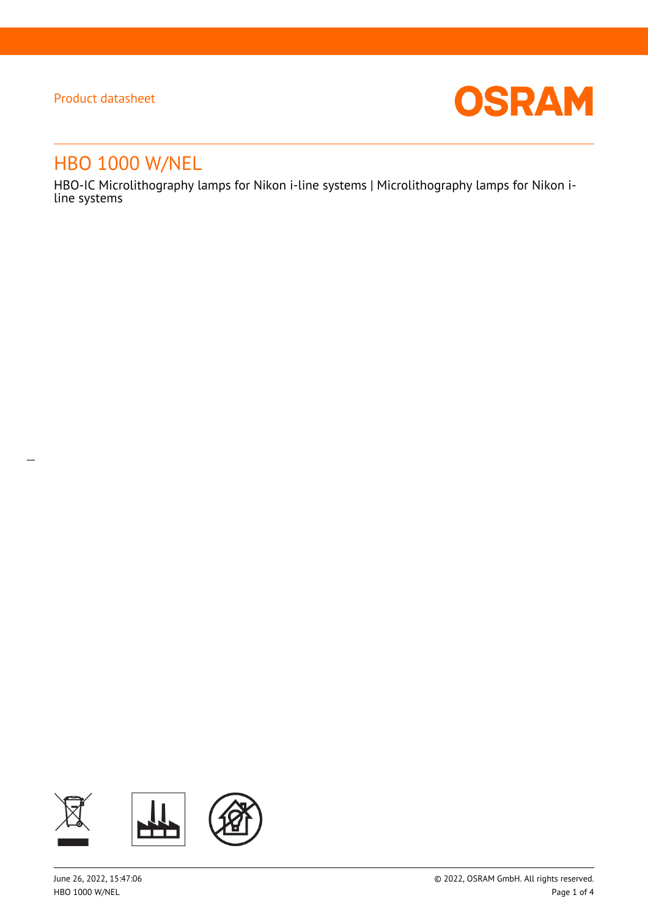$\overline{a}$ 



# HBO 1000 W/NEL

HBO-IC Microlithography lamps for Nikon i-line systems | Microlithography lamps for Nikon iline systems

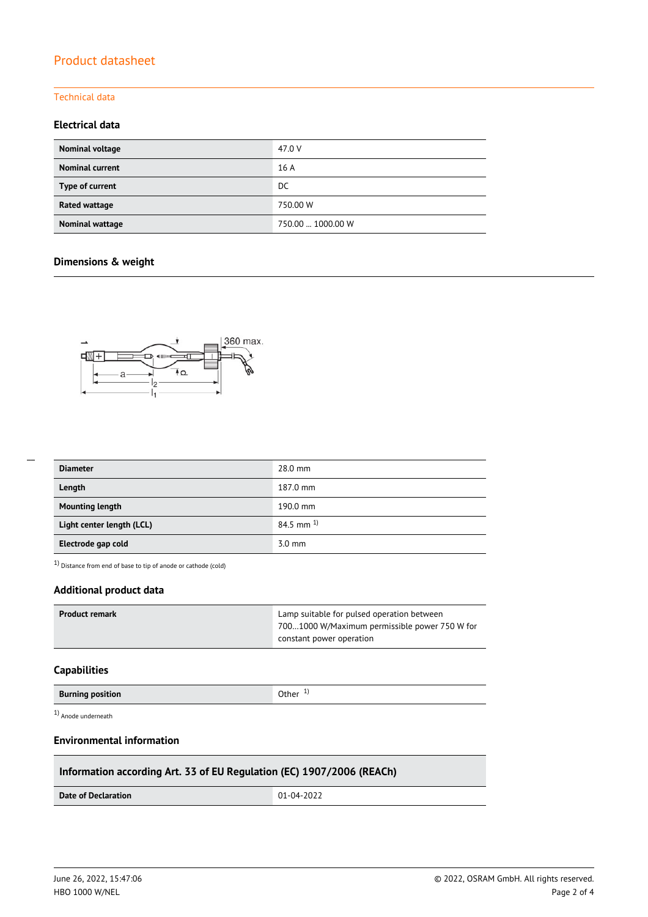#### Technical data

### **Electrical data**

| Nominal voltage        | 47.0 V            |
|------------------------|-------------------|
| <b>Nominal current</b> | 16 A              |
| Type of current        | DC                |
| Rated wattage          | 750.00 W          |
| Nominal wattage        | 750.00  1000.00 W |

### **Dimensions & weight**



| --- |  |  |
|-----|--|--|
|     |  |  |
|     |  |  |
|     |  |  |

| <b>Diameter</b>           | 28.0 mm                 |
|---------------------------|-------------------------|
| Length                    | 187.0 mm                |
| <b>Mounting length</b>    | 190.0 mm                |
| Light center length (LCL) | $84.5$ mm <sup>1)</sup> |
| Electrode gap cold        | $3.0 \text{ mm}$        |

 $1)$  Distance from end of base to tip of anode or cathode (cold)

### **Additional product data**

| Product remark | Lamp suitable for pulsed operation between    |
|----------------|-----------------------------------------------|
|                | 7001000 W/Maximum permissible power 750 W for |
|                | constant power operation                      |

#### **Capabilities**

| <b>Burning position</b> | Other $1$ |
|-------------------------|-----------|
|                         |           |

1) Anode underneath

#### **Environmental information**

### **Information according Art. 33 of EU Regulation (EC) 1907/2006 (REACh)**

**Date of Declaration**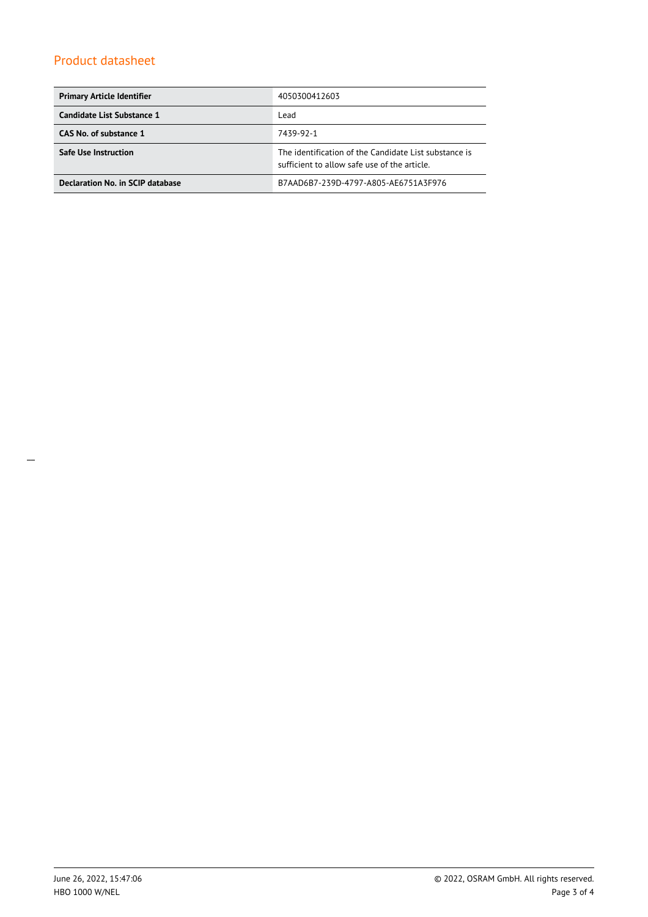| <b>Primary Article Identifier</b> | 4050300412603                                                                                         |
|-----------------------------------|-------------------------------------------------------------------------------------------------------|
| Candidate List Substance 1        | Lead                                                                                                  |
| CAS No. of substance 1            | 7439-92-1                                                                                             |
| Safe Use Instruction              | The identification of the Candidate List substance is<br>sufficient to allow safe use of the article. |
| Declaration No. in SCIP database  | B7AAD6B7-239D-4797-A805-AE6751A3F976                                                                  |

\_\_